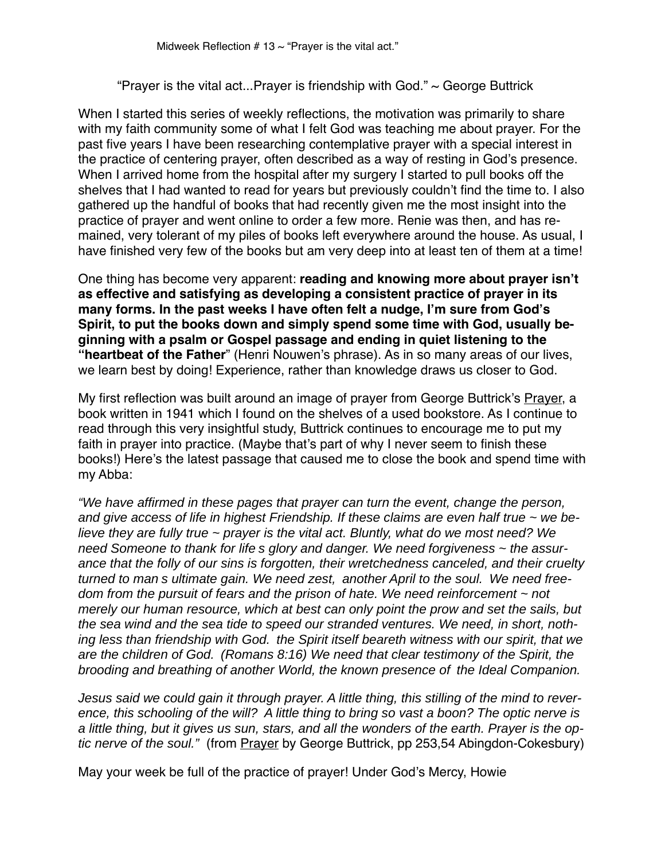"Prayer is the vital act...Prayer is friendship with God."  $\sim$  George Buttrick

When I started this series of weekly reflections, the motivation was primarily to share with my faith community some of what I felt God was teaching me about prayer. For the past five years I have been researching contemplative prayer with a special interest in the practice of centering prayer, often described as a way of resting in God's presence. When I arrived home from the hospital after my surgery I started to pull books off the shelves that I had wanted to read for years but previously couldn't find the time to. I also gathered up the handful of books that had recently given me the most insight into the practice of prayer and went online to order a few more. Renie was then, and has remained, very tolerant of my piles of books left everywhere around the house. As usual, I have finished very few of the books but am very deep into at least ten of them at a time!

One thing has become very apparent: **reading and knowing more about prayer isn't as effective and satisfying as developing a consistent practice of prayer in its many forms. In the past weeks I have often felt a nudge, I'm sure from God's Spirit, to put the books down and simply spend some time with God, usually beginning with a psalm or Gospel passage and ending in quiet listening to the "heartbeat of the Father**" (Henri Nouwen's phrase). As in so many areas of our lives, we learn best by doing! Experience, rather than knowledge draws us closer to God.

My first reflection was built around an image of prayer from George Buttrick's Prayer, a book written in 1941 which I found on the shelves of a used bookstore. As I continue to read through this very insightful study, Buttrick continues to encourage me to put my faith in prayer into practice. (Maybe that's part of why I never seem to finish these books!) Here's the latest passage that caused me to close the book and spend time with my Abba:

"We have affirmed in these pages that prayer can turn the event, change the person, and give access of life in highest Friendship. If these claims are even half true  $\sim$  we believe they are fully true  $\sim$  prayer is the vital act. Bluntly, what do we most need? We need Someone to thank for life s glory and danger. We need forgiveness ~ the assurance that the folly of our sins is forgotten, their wretchedness canceled, and their cruelty turned to man s ultimate gain. We need zest, another April to the soul. We need freedom from the pursuit of fears and the prison of hate. We need reinforcement  $\sim$  not merely our human resource, which at best can only point the prow and set the sails, but the sea wind and the sea tide to speed our stranded ventures. We need, in short, nothing less than friendship with God. the Spirit itself beareth witness with our spirit, that we are the children of God. (Romans 8:16) We need that clear testimony of the Spirit, the brooding and breathing of another World, the known presence of the Ideal Companion.

Jesus said we could gain it through prayer. A little thing, this stilling of the mind to reverence, this schooling of the will? A little thing to bring so vast a boon? The optic nerve is a little thing, but it gives us sun, stars, and all the wonders of the earth. Prayer is the optic nerve of the soul." (from Prayer by George Buttrick, pp 253,54 Abingdon-Cokesbury)

May your week be full of the practice of prayer! Under God's Mercy, Howie